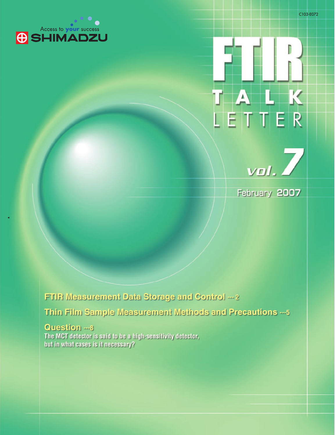





February **2007**

FTIR Measurement Data Storage and Control --- 2 Thin Film Sample Measurement Methods and Precautions --- 5

Question **---8 The MCT detector is said to be a high-sensitivity detector, but in what cases is it necessary?**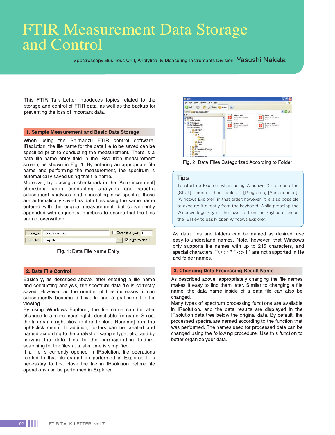# FTIR Measurement Data Storage and Control

Spectroscopy Business Unit, Analytical & Measuring Instruments Division Yasushi Nakata

This FTIR Talk Letter introduces topics related to the storage and control of FTIR data, as well as the backup for preventing the loss of important data.

#### 1. Sample Measurement and Basic Data Storage

When using the Shimadzu FTIR control software, IRsolution, the file name for the data file to be saved can be specified prior to conducting the measurement. There is a data file name entry field in the IRsolution measurement screen, as shown in Fig. 1. By entering an appropriate file name and performing the measurement, the spectrum is automatically saved using that file name.

Moreover, by placing a checkmark in the [Auto increment] checkbox, upon conducting analyses and spectra subsequent analyses and generating new spectra, these are automatically saved as data files using the same name entered with the original measurement, but conveniently appended with sequential numbers to ensure that the files are not overwritten.

|                   | Comment Shimadzu sample | Continuous limit 1 |  |
|-------------------|-------------------------|--------------------|--|
| Data file SampleA |                         | V Auto increment   |  |

Fig. 1: Data File Name Entry

#### 2. Data File Control

Basically, as described above, after entering a file name and conducting analysis, the spectrum data file is correctly saved. However, as the number of files increases, it can subsequently become difficult to find a particular file for viewing.

By using Windows Explorer, the file name can be later changed to a more meaningful, identifiable file name. Select the file name, right-click on it and select [Rename] from the right-click menu. In addition, folders can be created and named according to the analyst or sample type, etc., and by moving the data files to the corresponding folders, searching for the files at a later time is simplified.

If a file is currently opened in IRsolution, file operations related to that file cannot be performed in Explorer. It is necessary to first close the file in IRsolution before file operations can be performed in Explorer.



Fig. 2: Data Files Categorized According to Folder

#### **Tips**

To start up Explorer when using Windows XP, access the [Start] menu, then select [Programs]-[Accessories]-[Windows Explorer] in that order; however, it is also possible to execute it directly from the keyboard. While pressing the Windows logo key at the lower left on the keyboard, press the [E] key to easily open Windows Explorer.

As data files and folders can be named as desired, use easy-to-understand names. Note, however, that Windows only supports file names with up to 215 characters, and special characters " $\sqrt{$ : \* ? " < > |" are not supported in file and folder names.

#### 3. Changing Data Processing Result Name

As described above, appropriately changing the file names makes it easy to find them later. Similar to changing a file name, the data name inside of a data file can also be changed.

Many types of spectrum processing functions are available in IRsolution, and the data results are displayed in the IRsolution data tree below the original data. By default, the processed spectra are named according to the function that was performed. The names used for processed data can be changed using the following procedure. Use this function to better organize your data.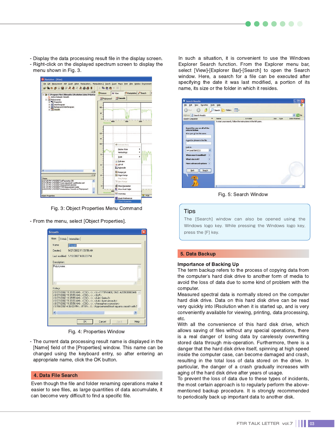- Display the data processing result file in the display screen. - Right-click on the displayed spectrum screen to display the
- menu shown in Fig. 3.



Fig. 3: Object Properties Menu Command

- From the menu, select [Object Properties].

| <b>Smooth</b>                                                                                                                                                                                                                                                                                                                                                                                                                                               |  |  |  |  |  |
|-------------------------------------------------------------------------------------------------------------------------------------------------------------------------------------------------------------------------------------------------------------------------------------------------------------------------------------------------------------------------------------------------------------------------------------------------------------|--|--|--|--|--|
| Main<br>X-Axis   Intensities                                                                                                                                                                                                                                                                                                                                                                                                                                |  |  |  |  |  |
| Name:<br>Smooth                                                                                                                                                                                                                                                                                                                                                                                                                                             |  |  |  |  |  |
| Created:<br>9/27/2002 11:33:56 AM                                                                                                                                                                                                                                                                                                                                                                                                                           |  |  |  |  |  |
| Last modified: 1/10/2007 4:06:03 PM                                                                                                                                                                                                                                                                                                                                                                                                                         |  |  |  |  |  |
| Description:                                                                                                                                                                                                                                                                                                                                                                                                                                                |  |  |  |  |  |
| Polystyrene                                                                                                                                                                                                                                                                                                                                                                                                                                                 |  |  |  |  |  |
|                                                                                                                                                                                                                                                                                                                                                                                                                                                             |  |  |  |  |  |
| History:                                                                                                                                                                                                                                                                                                                                                                                                                                                    |  |  |  |  |  |
| <9/27/2002 11:35:55 AM>. <csc>. &lt;&gt;.&lt; &lt;&gt;&lt; &lt; FTIR-8400. SNO: A20963800044&gt;<br/>&lt;9/27/2002 11:35:55 AM&gt;, <csc>, &lt;&gt;, <glp><br/>&lt;9/27/2002 11:35:55 AM&gt;, <csc>, &lt;&gt;, <auto: gain="2"><br/>&lt;9/27/2002 11:35:55 AM&gt;, <csc>, &lt;&gt;, <auto: aperture="auto"><br/>&lt;9/27/2002 11:35:56 AM&gt;, <csc>, &lt;&gt;, <atmosphere correction=""></atmosphere></csc></auto:></csc></auto:></csc></glp></csc></csc> |  |  |  |  |  |
| $\left\langle \right\rangle$<br>III                                                                                                                                                                                                                                                                                                                                                                                                                         |  |  |  |  |  |
| <b>OK</b><br>Cancel<br>Help<br>Apply                                                                                                                                                                                                                                                                                                                                                                                                                        |  |  |  |  |  |

Fig. 4: Properties Window

- The current data processing result name is displayed in the [Name] field of the [Properties] window. This name can be changed using the keyboard entry, so after entering an appropriate name, click the OK button.

### 4. Data File Search

Even though the file and folder renaming operations make it easier to see files, as large quantities of data accumulate, it can become very difficult to find a specific file.

In such a situation, it is convenient to use the Windows Explorer Search function. From the Explorer menu bar, select [View]-[Explorer Bar]-[Search] to open the Search window. Here, a search for a file can be executed after specifying the date it was last modified, a portion of its name, its size or the folder in which it resides.



Fig. 5: Search Window

#### **Tips**

The [Search] window can also be opened using the Windows logo key. While pressing the Windows logo key, press the [F] key.

#### 5. Data Backup

#### Importance of Backing Up

The term backup refers to the process of copying data from the computer's hard disk drive to another form of media to avoid the loss of data due to some kind of problem with the computer.

Measured spectral data is normally stored on the computer hard disk drive. Data on this hard disk drive can be read very quickly into IRsolution when it is started up, and is very conveniently available for viewing, printing, data processing, etc.

With all the convenience of this hard disk drive, which allows saving of files without any special operations, there is a real danger of losing data by carelessly overwriting stored data through mis-operation. Furthermore, there is a danger that the hard disk drive itself, spinning at high speed inside the computer case, can become damaged and crash, resulting in the total loss of data stored on the drive. In particular, the danger of a crash gradually increases with aging of the hard disk drive after years of usage.

To prevent the loss of data due to these types of incidents, the most certain approach is to regularly perform the abovementioned backup procedure. It is strongly recommended to periodically back up important data to another disk.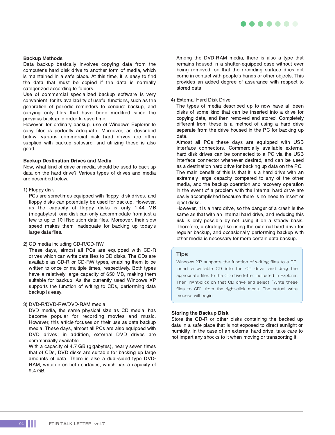#### Backup Methods

Data backup basically involves copying data from the computer's hard disk drive to another form of media, which is maintained in a safe place. At this time, it is easy to find the data that must be copied if the data is normally categorized according to folders.

Use of commercial specialized backup software is very convenient for its availability of useful functions, such as the generation of periodic reminders to conduct backup, and copying only files that have been modified since the previous backup in order to save time.

However, for ordinary backup, use of Windows Explorer to copy files is perfectly adequate. Moreover, as described below, various commercial disk hard drives are often supplied with backup software, and utilizing these is also good.

#### Backup Destination Drives and Media

Now, what kind of drive or media should be used to back up data on the hard drive? Various types of drives and media are described below.

#### 1) Floppy disk

PCs are sometimes equipped with floppy disk drives, and floppy disks can potentially be used for backup. However, as the capacity of floppy disks is only 1.44 MB (megabytes), one disk can only accommodate from just a few to up to 10 IRsolution data files. Moreover, their slow speed makes them inadequate for backing up today's large data files.

2) CD media including CD-R/CD-RW

These days, almost all PCs are equipped with CD-R drives which can write data files to CD disks. The CDs are available as CD-R or CD-RW types, enabling them to be written to once or multiple times, respectively. Both types have a relatively large capacity of 650 MB, making them suitable for backup. As the currently used Windows XP supports the function of writing to CDs, performing data backup is easy.

#### 3) DVD-R/DVD-RW/DVD-RAM media

DVD media, the same physical size as CD media, has become popular for recording movies and music. However, this article focuses on their use as data backup media. These days, almost all PCs are also equipped with DVD drives; in addition, external DVD drives are commercially available.

With a capacity of 4.7 GB (gigabytes), nearly seven times that of CDs, DVD disks are suitable for backing up large amounts of data. There is also a dual-sided type DVD-RAM, writable on both surfaces, which has a capacity of 9.4 GB.

Among the DVD-RAM media, there is also a type that remains housed in a shutter-equipped case without ever being removed, so that the recording surface does not come in contact with people's hands or other objects. This provides an added degree of assurance with respect to stored data.

 $\bullet$   $\bullet$ 

#### 4) External Hard Disk Drive

The types of media described up to now have all been disks of some kind that can be inserted into a drive for copying data, and then removed and stored. Completely different from these is a method of using a hard drive separate from the drive housed in the PC for backing up data.

Almost all PCs these days are equipped with USB interface connectors. Commercially available external hard disk drives can be connected to a PC via the USB interface connector whenever desired, and can be used as a destination hard drive for backing up data on the PC. The main benefit of this is that it is a hard drive with an extremely large capacity compared to any of the other media, and the backup operation and recovery operation in the event of a problem with the internal hard drive are easily accomplished because there is no need to insert or eject disks.

However, it is a hard drive, so the danger of a crash is the same as that with an internal hard drive, and reducing this risk is only possible by not using it on a steady basis. Therefore, a strategy like using the external hard drive for regular backup, and occasionally performing backup with other media is necessary for more certain data backup.

#### Tips

Windows XP supports the function of writing files to a CD. Insert a writable CD into the CD drive, and drag the appropriate files to the CD drive letter indicated in Explorer. Then, right-click on that CD drive and select "Write these files to CD" from the right-click menu. The actual write process will begin.

#### Storing the Backup Disk

Store the CD-R or other disks containing the backed up data in a safe place that is not exposed to direct sunlight or humidity. In the case of an external hard drive, take care to not impart any shocks to it when moving or transporting it.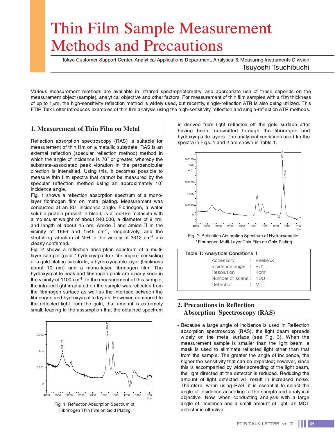# Thin Film Sample Measurement Methods and Precautions

Tokyo Customer Support Center, Analytical Applications Department, Analytical & Measuring Instruments Division Tsuyoshi Tsuchibuchi

Various measurement methods are available in infrared spectrophotometry, and appropriate use of these depends on the measurement object (sample), analytical objective and other factors. For measurement of thin film samples with a film thickness of up to  $1\mu$ m, the high-sensitivity reflection method is widely used, but recently, single-reflection ATR is also being utilized. This FTIR Talk Letter introduces examples of thin film analysis using the high-sensitivity reflection and single-reflection ATR methods.

# **1. Measurement of Thin Film on Metal**

Reflection absorption spectroscopy (RAS) is suitable for measurement of thin film on a metallic substrate. RAS is an external reflection (specular reflection method) method in which the angle of incidence is 70° or greater, whereby the substrate-associated peak vibration in the perpendicular direction is intensified. Using this, it becomes possible to measure thin film spectra that cannot be measured by the specular reflection method using an approximately 10° incidence angle.

Fig. 1 shows a reflection absorption spectrum of a monolayer fibrinogen film on metal plating. Measurement was conducted at an 80°incidence angle. Fibrinogen, a water soluble protein present in blood, is a rod-like molecule with a molecular weight of about 340,000, a diameter of 9 nm, and length of about 45 nm. Amide **I** and amide **II** in the vicinity of 1666 and 1545  $cm<sup>-1</sup>$ , respectively, and the stretching vibration of N-H in the vicinity of 3312 cm<sup>-1</sup> are clearly confirmed.

Fig. 2 shows a reflection absorption spectrum of a multilayer sample (gold / hydroxyapatite / fibrinogen) consisting of a gold plating substrate, a hydroxyapatite layer (thickness about 10 nm) and a mono-layer fibrinogen film. The hydroxyapatite peak and fibrinogen peak are clearly seen in the vicinity of 1100 cm<sup>-1</sup>. In the measurement of this sample, the infrared light irradiated on the sample was reflected from the fibrinogen surface as well as the interface between the fibrinogen and hydroxyapatite layers. However, compared to the reflected light from the gold, that amount is extremely small, leading to the assumption that the obtained spectrum



Fig. 1: Reflection Absorption Spectrum of Fibrinogen Thin Film on Gold Plating

is derived from light reflected off the gold surface after having been transmitted through the fibrinogen and hydroxyapatite layers. The analytical conditions used for the spectra in Figs. 1 and 2 are shown in Table 1.



Fig. 2: Reflection Absorption Spectrum of Hydroxyapatite / Fibrinogen Multi-Layer Thin Film on Gold Plating

| Table 1: Analytical Conditions 1          |       |
|-------------------------------------------|-------|
| Accessory : VeeMAX                        |       |
| Incidence angle $\therefore$ 80 $\degree$ |       |
| $Resolution$ : 4cm <sup>-1</sup>          |       |
| Number of scans: 400                      |       |
| Detector                                  | : MCT |

# **2. Precautions in Reflection Absorption Spectroscopy (RAS)**

- Because a large angle of incidence is used in Reflection absorption spectroscopy (RAS), the light beam spreads widely on the metal surface (see Fig. 3). When the measurement sample is smaller than the light beam, a mask is used to eliminate reflected light other than that from the sample. The greater the angle of incidence, the higher the sensitivity that can be expected; however, since this is accompanied by wider spreading of the light beam, the light directed at the detector is reduced. Reducing the amount of light detected will result in increased noise. Therefore, when using RAS, it is essential to select the angle of incidence according to the sample and analytical objective. Now, when conducting analysis with a large angle of incidence and a small amount of light, an MCT detector is effective.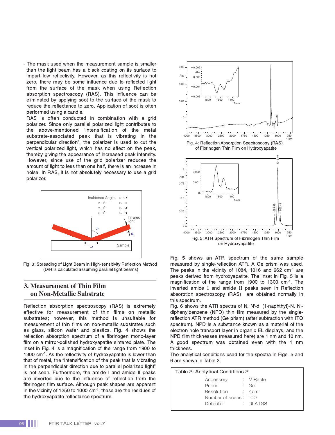- The mask used when the measurement sample is smaller than the light beam has a black coating on its surface to impart low reflectivity. However, as this reflectivity is not zero, there may be some influence due to reflected light from the surface of the mask when using Reflection absorption spectroscopy (RAS). This influence can be eliminated by applying soot to the surface of the mask to reduce the reflectance to zero. Application of soot is often performed using a candle.

RAS is often conducted in combination with a grid polarizer. Since only parallel polarized light contributes to the above-mentioned "intensification of the metal substrate-associated peak that is vibrating in the perpendicular direction", the polarizer is used to cut the vertical polarized light, which has no effect on the peak, thereby giving the appearance of increased peak intensity. However, since use of the grid polarizer reduces the amount of light to less than one half, there is an increase in noise. In RAS, it is not absolutely necessary to use a grid polarizer.



Fig. 3: Spreading of Light Beam in High-sensitivity Reflection Method (D/R is calculated assuming parallel light beams)

## **3. Measurement of Thin Film on Non-Metallic Substrate**

Reflection absorption spectroscopy (RAS) is extremely effective for measurement of thin films on metallic substrates; however, this method is unsuitable for measurement of thin films on non-metallic substrates such as glass, silicon wafer and plastics. Fig. 4 shows the reflection absorption spectrum of a fibrinogen mono-layer film on a mirror-polished hydroxyapatite sintered plate. The inset in Fig. 4 is a magnification of the range from 1900 to 1300 cm<sup>-1</sup>. As the reflectivity of hydroxyapatite is lower than that of metal, the "intensification of the peak that is vibrating in the perpendicular direction due to parallel polarized light" is not seen. Furthermore, the amide I and amide II peaks are inverted due to the influence of reflection from the fibrinogen film surface. Although peak shapes are apparent in the vicinity of 1250 to 1000 cm<sup>-1</sup>, these are the residues of the hydroxyapatite reflectance spectrum.



Fig. 5 shows an ATR spectrum of the same sample measured by single-reflection ATR. A Ge prism was used. The peaks in the vicinity of 1084, 1016 and 962 cm<sup>-1</sup> are peaks derived from hydroxyapatite. The inset in Fig. 5 is a magnification of the range from 1900 to 1300 cm-1. The inverted amide **I** and amide **II** peaks seen in Reflection absorption spectroscopy (RAS) are obtained normally in this spectrum.

Fig. 6 shows the ATR spectra of N, N'-di (1-naphthyl)-N, N' diphenylbenzene (NPD) thin film measured by the singlereflection ATR method (Ge prism) (after subtraction with ITO spectrum). NPD is a substance known as a material of the electron hole transport layer in organic EL displays, and the NPD film thicknesses (measured here) are 1 nm and 10 nm. A good spectrum was obtained even with the 1 nm thickness.

The analytical conditions used for the spectra in Figs. 5 and 6 are shown in Table 2.

| Table 2: Analytical Conditions 2 |  |                      |  |  |  |
|----------------------------------|--|----------------------|--|--|--|
| Accessory                        |  | : MIRacle            |  |  |  |
| Prism                            |  | : Ge                 |  |  |  |
| Resolution                       |  | $: 4cm-1$            |  |  |  |
| Number of scans: 100             |  |                      |  |  |  |
| Detector                         |  | $\therefore$ DI ATGS |  |  |  |
|                                  |  |                      |  |  |  |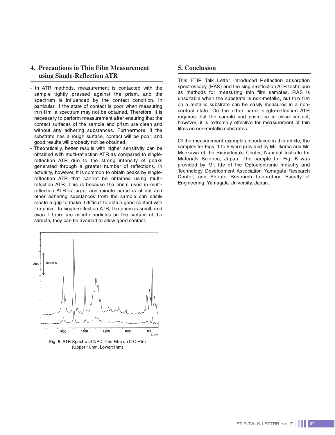# **4. Precautions in Thin Film Measurement using Single-Reflection ATR**

- In ATR methods, measurement is contacted with the sample tightly pressed against the prism, and the spectrum is influenced by the contact condition. In particular, if the state of contact is poor when measuring thin film, a spectrum may not be obtained. Therefore, it is necessary to perform measurement after ensuring that the contact surfaces of the sample and prism are clean and without any adhering substances. Furthermore, if the substrate has a rough surface, contact will be poor, and good results will probably not be obtained.
- Theoretically, better results with higher sensitivity can be obtained with multi-reflection ATR as compared to singlereflection ATR due to the strong intensity of peaks generated through a greater number of reflections. In actuality, however, it is common to obtain peaks by singlereflection ATR that cannot be obtained using multirefection ATR. This is because the prism used in multireflection ATR is large, and minute particles of dirt and other adhering substances from the sample can easily create a gap to make it difficult to obtain good contact with the prism. In single-reflection ATR, the prism is small, and even if there are minute particles on the surface of the sample, they can be avoided to allow good contact.



Fig. 6: ATR Spectra of NPD Thin Film on ITO Film (Upper:10nm, Lower:1nm)

# **5. Conclusion**

This FTIR Talk Letter introduced Reflection absorption spectroscopy (RAS) and the single-reflection ATR technique as methods for measuring thin film samples. RAS is unsuitable when the substrate is non-metallic, but thin film on a metallic substrate can be easily measured in a noncontact state. On the other hand, single-reflection ATR requires that the sample and prism be in close contact; however, it is extremely effective for measurement of thin films on non-metallic substrates.

Of the measurement examples introduced in this article, the samples for Figs. 1 to 5 were provided by Mr. Ikoma and Mr. Monkawa of the Biomaterials Center, National Institute for Materials Science, Japan. The sample for Fig. 6 was provided by Mr. Ide of the Optoelectronic Industry and Technology Development Association Yamagata Research Center, and Shiroto Research Laboratory, Faculty of Engineering, Yamagata University, Japan.